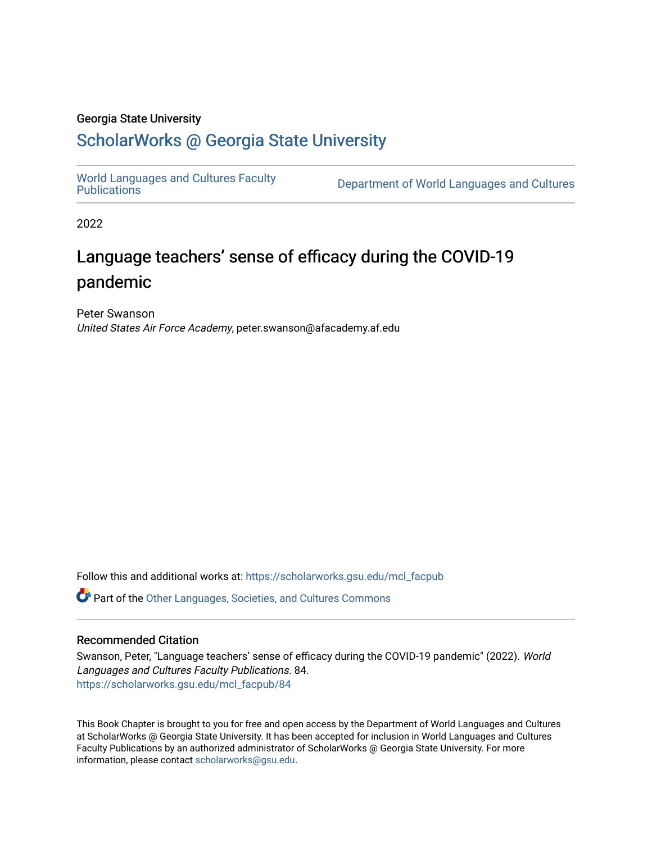#### Georgia State University

# [ScholarWorks @ Georgia State University](https://scholarworks.gsu.edu/)

[World Languages and Cultures Faculty](https://scholarworks.gsu.edu/mcl_facpub)<br>Publications

Department of World Languages and Cultures

2022

# Language teachers' sense of efficacy during the COVID-19 pandemic

Peter Swanson United States Air Force Academy, peter.swanson@afacademy.af.edu

Follow this and additional works at: [https://scholarworks.gsu.edu/mcl\\_facpub](https://scholarworks.gsu.edu/mcl_facpub?utm_source=scholarworks.gsu.edu%2Fmcl_facpub%2F84&utm_medium=PDF&utm_campaign=PDFCoverPages) 

Part of the [Other Languages, Societies, and Cultures Commons](http://network.bepress.com/hgg/discipline/475?utm_source=scholarworks.gsu.edu%2Fmcl_facpub%2F84&utm_medium=PDF&utm_campaign=PDFCoverPages)

#### Recommended Citation

Swanson, Peter, "Language teachers' sense of efficacy during the COVID-19 pandemic" (2022). World Languages and Cultures Faculty Publications. 84. [https://scholarworks.gsu.edu/mcl\\_facpub/84](https://scholarworks.gsu.edu/mcl_facpub/84?utm_source=scholarworks.gsu.edu%2Fmcl_facpub%2F84&utm_medium=PDF&utm_campaign=PDFCoverPages)

This Book Chapter is brought to you for free and open access by the Department of World Languages and Cultures at ScholarWorks @ Georgia State University. It has been accepted for inclusion in World Languages and Cultures Faculty Publications by an authorized administrator of ScholarWorks @ Georgia State University. For more information, please contact [scholarworks@gsu.edu](mailto:scholarworks@gsu.edu).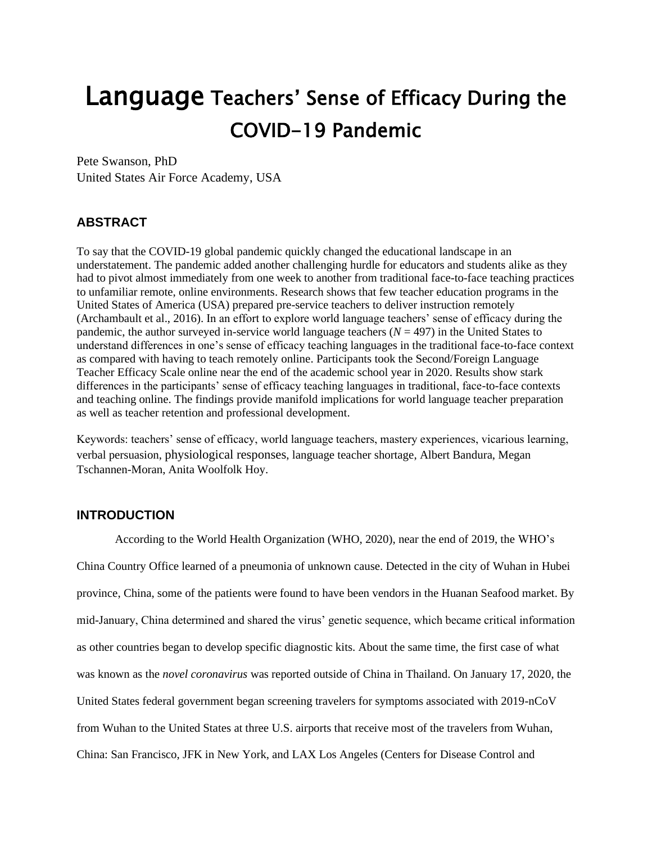# Language Teachers' Sense of Efficacy During the COVID-19 Pandemic

Pete Swanson, PhD United States Air Force Academy, USA

## **ABSTRACT**

To say that the COVID-19 global pandemic quickly changed the educational landscape in an understatement. The pandemic added another challenging hurdle for educators and students alike as they had to pivot almost immediately from one week to another from traditional face-to-face teaching practices to unfamiliar remote, online environments. Research shows that few teacher education programs in the United States of America (USA) prepared pre-service teachers to deliver instruction remotely (Archambault et al., 2016). In an effort to explore world language teachers' sense of efficacy during the pandemic, the author surveyed in-service world language teachers (*N* = 497) in the United States to understand differences in one's sense of efficacy teaching languages in the traditional face-to-face context as compared with having to teach remotely online. Participants took the Second/Foreign Language Teacher Efficacy Scale online near the end of the academic school year in 2020. Results show stark differences in the participants' sense of efficacy teaching languages in traditional, face-to-face contexts and teaching online. The findings provide manifold implications for world language teacher preparation as well as teacher retention and professional development.

Keywords: teachers' sense of efficacy, world language teachers, mastery experiences, vicarious learning, verbal persuasion, physiological responses, language teacher shortage, Albert Bandura, Megan Tschannen-Moran, Anita Woolfolk Hoy.

#### **INTRODUCTION**

According to the World Health Organization (WHO, 2020), near the end of 2019, the WHO's China Country Office learned of a pneumonia of unknown cause. Detected in the city of Wuhan in Hubei province, China, some of the patients were found to have been vendors in the Huanan Seafood market. By mid-January, China determined and shared the virus' genetic sequence, which became critical information as other countries began to develop specific diagnostic kits. About the same time, the first case of what was known as the *novel coronavirus* was reported outside of China in Thailand. On January 17, 2020, the United States federal government began screening travelers for symptoms associated with 2019-nCoV from Wuhan to the United States at three U.S. airports that receive most of the travelers from Wuhan, China: San Francisco, JFK in New York, and LAX Los Angeles (Centers for Disease Control and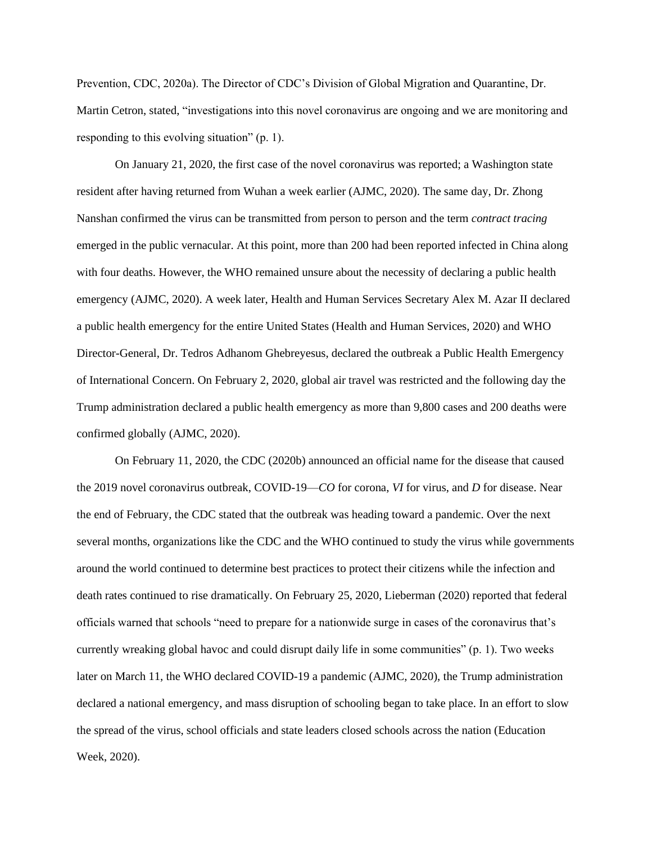Prevention, CDC, 2020a). The Director of CDC's Division of Global Migration and Quarantine, Dr. Martin Cetron, stated, "investigations into this novel coronavirus are ongoing and we are monitoring and responding to this evolving situation" (p. 1).

On January 21, 2020, the first case of the novel coronavirus was reported; a Washington state resident after having returned from Wuhan a week earlier (AJMC, 2020). The same day, Dr. Zhong Nanshan confirmed the virus can be transmitted from person to person and the term *contract tracing* emerged in the public vernacular. At this point, more than 200 had been reported infected in China along with four deaths. However, the WHO remained unsure about the necessity of declaring a public health emergency (AJMC, 2020). A week later, Health and Human Services Secretary Alex M. Azar II declared a public health emergency for the entire United States (Health and Human Services, 2020) and WHO Director-General, Dr. Tedros Adhanom Ghebreyesus, declared the outbreak a Public Health Emergency of International Concern. On February 2, 2020, global air travel was restricted and the following day the Trump administration declared a public health emergency as more than 9,800 cases and 200 deaths were confirmed globally (AJMC, 2020).

On February 11, 2020, the CDC (2020b) announced an official name for the disease that caused the 2019 novel coronavirus outbreak, COVID-19—*CO* for corona, *VI* for virus, and *D* for disease. Near the end of February, the CDC stated that the outbreak was heading toward a pandemic. Over the next several months, organizations like the CDC and the WHO continued to study the virus while governments around the world continued to determine best practices to protect their citizens while the infection and death rates continued to rise dramatically. On February 25, 2020, Lieberman (2020) reported that federal officials warned that schools "need to prepare for a nationwide surge in cases of the coronavirus that's currently wreaking global havoc and could disrupt daily life in some communities" (p. 1). Two weeks later on March 11, the WHO declared COVID-19 a pandemic (AJMC, 2020), the Trump administration declared a national emergency, and mass disruption of schooling began to take place. In an effort to slow the spread of the virus, school officials and state leaders closed schools across the nation (Education Week, 2020).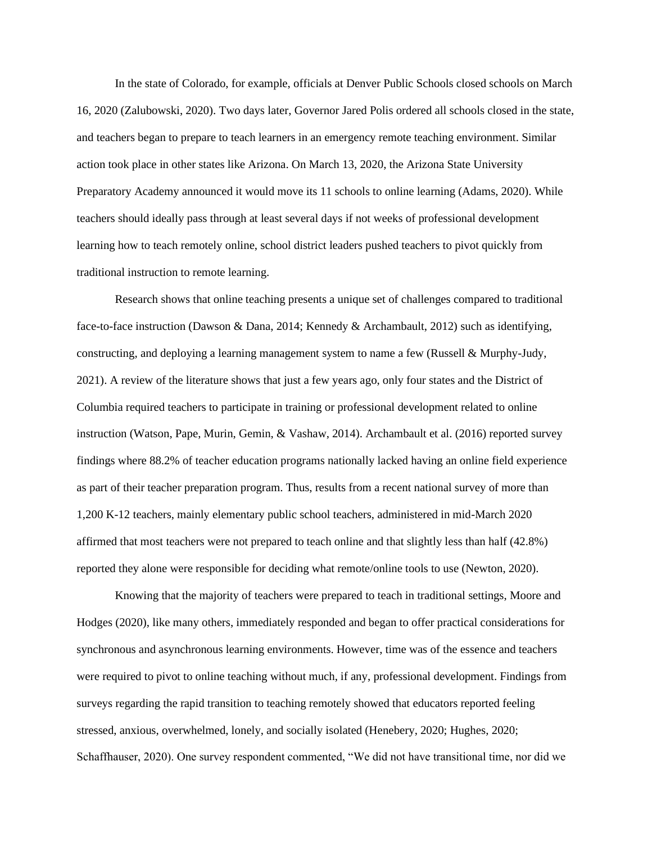In the state of Colorado, for example, officials at Denver Public Schools closed schools on March 16, 2020 (Zalubowski, 2020). Two days later, Governor Jared Polis ordered all schools closed in the state, and teachers began to prepare to teach learners in an emergency remote teaching environment. Similar action took place in other states like Arizona. On March 13, 2020, the Arizona State University Preparatory Academy announced it would move its 11 schools to online learning (Adams, 2020). While teachers should ideally pass through at least several days if not weeks of professional development learning how to teach remotely online, school district leaders pushed teachers to pivot quickly from traditional instruction to remote learning.

Research shows that online teaching presents a unique set of challenges compared to traditional face-to-face instruction (Dawson & Dana, 2014; Kennedy & Archambault, 2012) such as identifying, constructing, and deploying a learning management system to name a few (Russell & Murphy-Judy, 2021). A review of the literature shows that just a few years ago, only four states and the District of Columbia required teachers to participate in training or professional development related to online instruction (Watson, Pape, Murin, Gemin, & Vashaw, 2014). Archambault et al. (2016) reported survey findings where 88.2% of teacher education programs nationally lacked having an online field experience as part of their teacher preparation program. Thus, results from a recent national survey of more than 1,200 K-12 teachers, mainly elementary public school teachers, administered in mid-March 2020 affirmed that most teachers were not prepared to teach online and that slightly less than half (42.8%) reported they alone were responsible for deciding what remote/online tools to use (Newton, 2020).

Knowing that the majority of teachers were prepared to teach in traditional settings, Moore and Hodges (2020), like many others, immediately responded and began to offer practical considerations for synchronous and asynchronous learning environments. However, time was of the essence and teachers were required to pivot to online teaching without much, if any, professional development. Findings from surveys regarding the rapid transition to teaching remotely showed that educators reported feeling stressed, anxious, overwhelmed, lonely, and socially isolated (Henebery, 2020; Hughes, 2020; Schaffhauser, 2020). One survey respondent commented, "We did not have transitional time, nor did we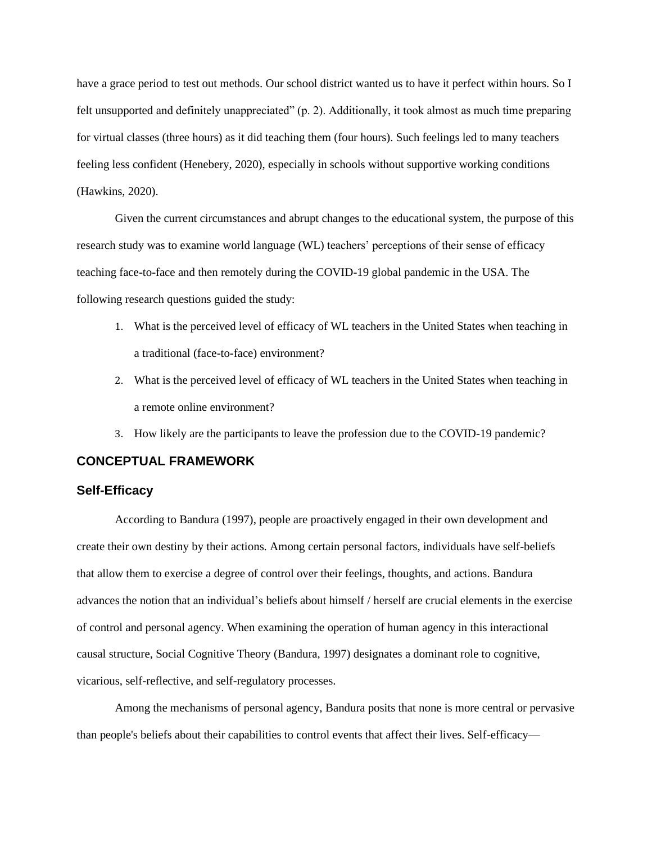have a grace period to test out methods. Our school district wanted us to have it perfect within hours. So I felt unsupported and definitely unappreciated" (p. 2). Additionally, it took almost as much time preparing for virtual classes (three hours) as it did teaching them (four hours). Such feelings led to many teachers feeling less confident (Henebery, 2020), especially in schools without supportive working conditions (Hawkins, 2020).

Given the current circumstances and abrupt changes to the educational system, the purpose of this research study was to examine world language (WL) teachers' perceptions of their sense of efficacy teaching face-to-face and then remotely during the COVID-19 global pandemic in the USA. The following research questions guided the study:

- 1. What is the perceived level of efficacy of WL teachers in the United States when teaching in a traditional (face-to-face) environment?
- 2. What is the perceived level of efficacy of WL teachers in the United States when teaching in a remote online environment?
- 3. How likely are the participants to leave the profession due to the COVID-19 pandemic?

#### **CONCEPTUAL FRAMEWORK**

#### **Self-Efficacy**

According to Bandura (1997), people are proactively engaged in their own development and create their own destiny by their actions. Among certain personal factors, individuals have self-beliefs that allow them to exercise a degree of control over their feelings, thoughts, and actions. Bandura advances the notion that an individual's beliefs about himself / herself are crucial elements in the exercise of control and personal agency. When examining the operation of human agency in this interactional causal structure, Social Cognitive Theory (Bandura, 1997) designates a dominant role to cognitive, vicarious, self-reflective, and self-regulatory processes.

Among the mechanisms of personal agency, Bandura posits that none is more central or pervasive than people's beliefs about their capabilities to control events that affect their lives. Self-efficacy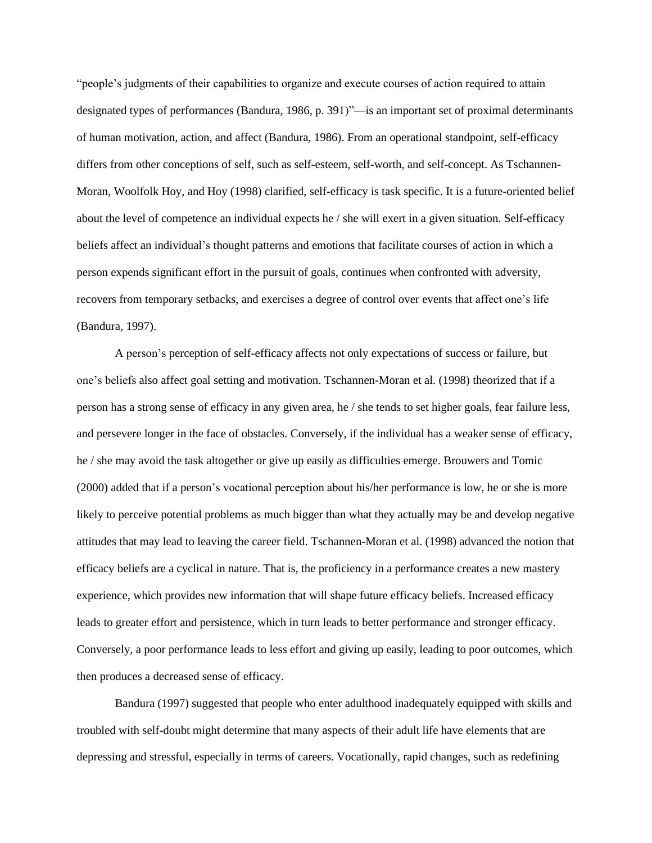"people's judgments of their capabilities to organize and execute courses of action required to attain designated types of performances (Bandura, 1986, p. 391)"—is an important set of proximal determinants of human motivation, action, and affect (Bandura, 1986). From an operational standpoint, self-efficacy differs from other conceptions of self, such as self-esteem, self-worth, and self-concept. As Tschannen-Moran, Woolfolk Hoy, and Hoy (1998) clarified, self-efficacy is task specific. It is a future-oriented belief about the level of competence an individual expects he / she will exert in a given situation. Self-efficacy beliefs affect an individual's thought patterns and emotions that facilitate courses of action in which a person expends significant effort in the pursuit of goals, continues when confronted with adversity, recovers from temporary setbacks, and exercises a degree of control over events that affect one's life (Bandura, 1997).

A person's perception of self-efficacy affects not only expectations of success or failure, but one's beliefs also affect goal setting and motivation. Tschannen-Moran et al. (1998) theorized that if a person has a strong sense of efficacy in any given area, he / she tends to set higher goals, fear failure less, and persevere longer in the face of obstacles. Conversely, if the individual has a weaker sense of efficacy, he / she may avoid the task altogether or give up easily as difficulties emerge. Brouwers and Tomic (2000) added that if a person's vocational perception about his/her performance is low, he or she is more likely to perceive potential problems as much bigger than what they actually may be and develop negative attitudes that may lead to leaving the career field. Tschannen-Moran et al. (1998) advanced the notion that efficacy beliefs are a cyclical in nature. That is, the proficiency in a performance creates a new mastery experience, which provides new information that will shape future efficacy beliefs. Increased efficacy leads to greater effort and persistence, which in turn leads to better performance and stronger efficacy. Conversely, a poor performance leads to less effort and giving up easily, leading to poor outcomes, which then produces a decreased sense of efficacy.

Bandura (1997) suggested that people who enter adulthood inadequately equipped with skills and troubled with self-doubt might determine that many aspects of their adult life have elements that are depressing and stressful, especially in terms of careers. Vocationally, rapid changes, such as redefining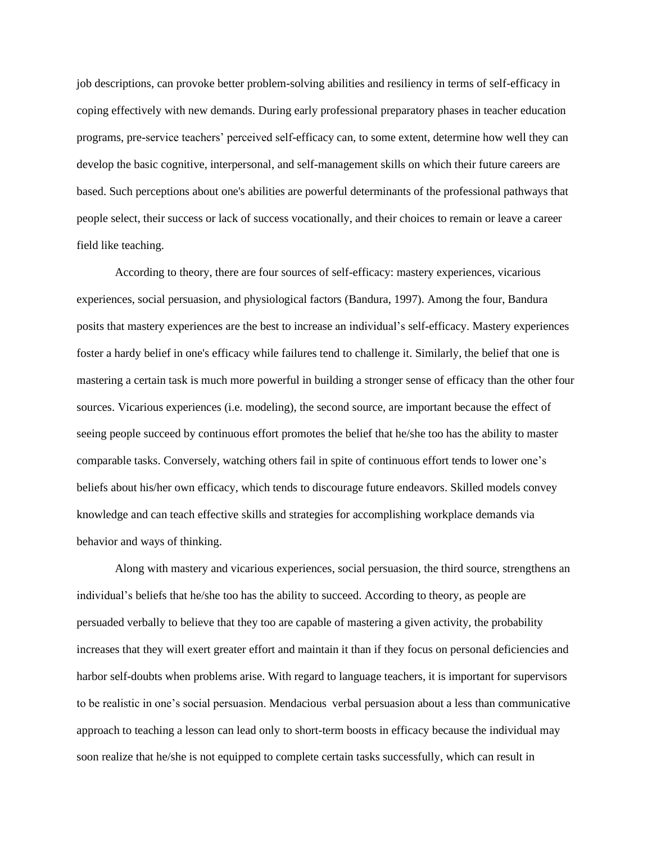job descriptions, can provoke better problem-solving abilities and resiliency in terms of self-efficacy in coping effectively with new demands. During early professional preparatory phases in teacher education programs, pre-service teachers' perceived self-efficacy can, to some extent, determine how well they can develop the basic cognitive, interpersonal, and self-management skills on which their future careers are based. Such perceptions about one's abilities are powerful determinants of the professional pathways that people select, their success or lack of success vocationally, and their choices to remain or leave a career field like teaching.

According to theory, there are four sources of self-efficacy: mastery experiences, vicarious experiences, social persuasion, and physiological factors (Bandura, 1997). Among the four, Bandura posits that mastery experiences are the best to increase an individual's self-efficacy. Mastery experiences foster a hardy belief in one's efficacy while failures tend to challenge it. Similarly, the belief that one is mastering a certain task is much more powerful in building a stronger sense of efficacy than the other four sources. Vicarious experiences (i.e. modeling), the second source, are important because the effect of seeing people succeed by continuous effort promotes the belief that he/she too has the ability to master comparable tasks. Conversely, watching others fail in spite of continuous effort tends to lower one's beliefs about his/her own efficacy, which tends to discourage future endeavors. Skilled models convey knowledge and can teach effective skills and strategies for accomplishing workplace demands via behavior and ways of thinking.

Along with mastery and vicarious experiences, social persuasion, the third source, strengthens an individual's beliefs that he/she too has the ability to succeed. According to theory, as people are persuaded verbally to believe that they too are capable of mastering a given activity, the probability increases that they will exert greater effort and maintain it than if they focus on personal deficiencies and harbor self-doubts when problems arise. With regard to language teachers, it is important for supervisors to be realistic in one's social persuasion. Mendacious verbal persuasion about a less than communicative approach to teaching a lesson can lead only to short-term boosts in efficacy because the individual may soon realize that he/she is not equipped to complete certain tasks successfully, which can result in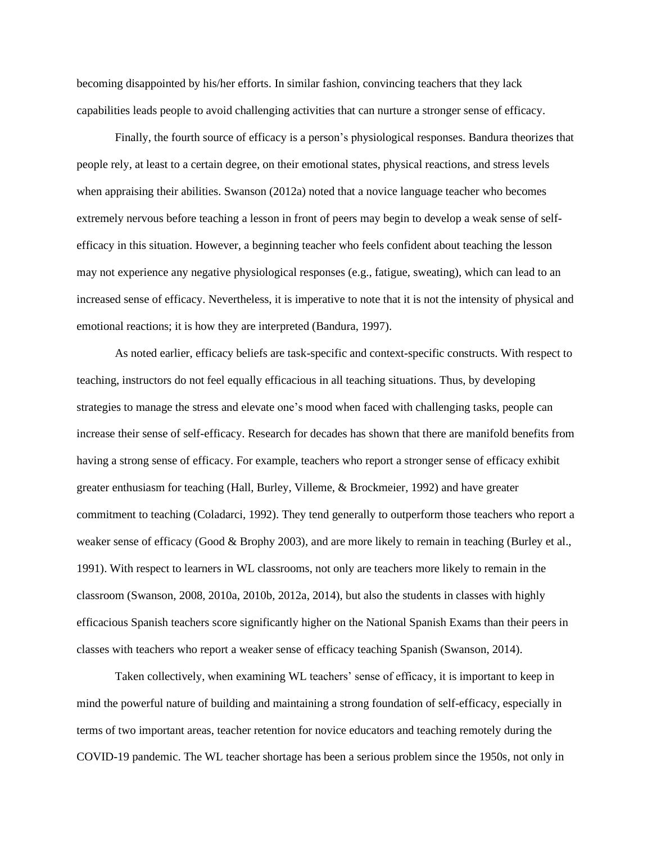becoming disappointed by his/her efforts. In similar fashion, convincing teachers that they lack capabilities leads people to avoid challenging activities that can nurture a stronger sense of efficacy.

Finally, the fourth source of efficacy is a person's physiological responses. Bandura theorizes that people rely, at least to a certain degree, on their emotional states, physical reactions, and stress levels when appraising their abilities. Swanson (2012a) noted that a novice language teacher who becomes extremely nervous before teaching a lesson in front of peers may begin to develop a weak sense of selfefficacy in this situation. However, a beginning teacher who feels confident about teaching the lesson may not experience any negative physiological responses (e.g., fatigue, sweating), which can lead to an increased sense of efficacy. Nevertheless, it is imperative to note that it is not the intensity of physical and emotional reactions; it is how they are interpreted (Bandura, 1997).

As noted earlier, efficacy beliefs are task-specific and context-specific constructs. With respect to teaching, instructors do not feel equally efficacious in all teaching situations. Thus, by developing strategies to manage the stress and elevate one's mood when faced with challenging tasks, people can increase their sense of self-efficacy. Research for decades has shown that there are manifold benefits from having a strong sense of efficacy. For example, teachers who report a stronger sense of efficacy exhibit greater enthusiasm for teaching (Hall, Burley, Villeme, & Brockmeier, 1992) and have greater commitment to teaching (Coladarci, 1992). They tend generally to outperform those teachers who report a weaker sense of efficacy (Good & Brophy 2003), and are more likely to remain in teaching (Burley et al., 1991). With respect to learners in WL classrooms, not only are teachers more likely to remain in the classroom (Swanson, 2008, 2010a, 2010b, 2012a, 2014), but also the students in classes with highly efficacious Spanish teachers score significantly higher on the National Spanish Exams than their peers in classes with teachers who report a weaker sense of efficacy teaching Spanish (Swanson, 2014).

Taken collectively, when examining WL teachers' sense of efficacy, it is important to keep in mind the powerful nature of building and maintaining a strong foundation of self-efficacy, especially in terms of two important areas, teacher retention for novice educators and teaching remotely during the COVID-19 pandemic. The WL teacher shortage has been a serious problem since the 1950s, not only in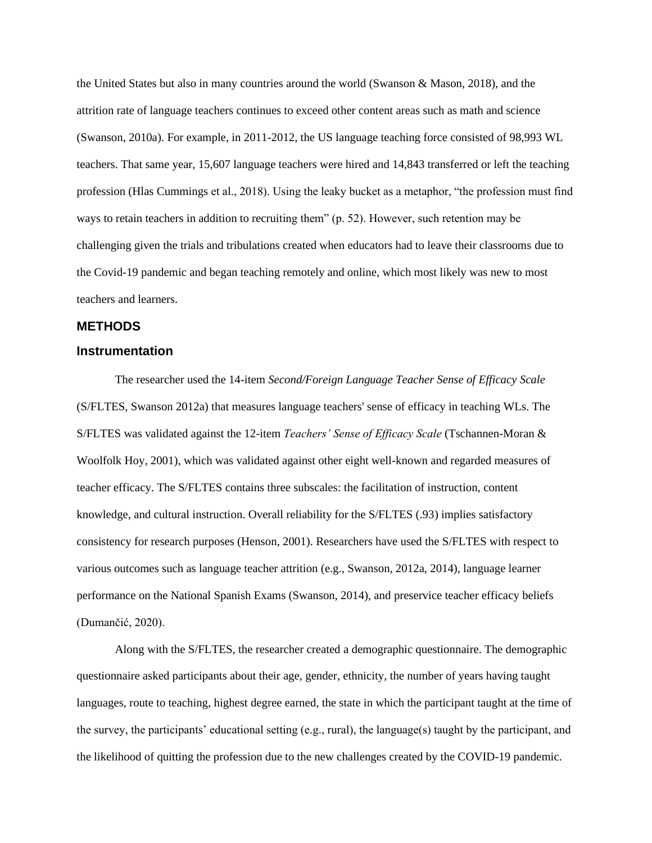the United States but also in many countries around the world (Swanson & Mason, 2018), and the attrition rate of language teachers continues to exceed other content areas such as math and science (Swanson, 2010a). For example, in 2011-2012, the US language teaching force consisted of 98,993 WL teachers. That same year, 15,607 language teachers were hired and 14,843 transferred or left the teaching profession (Hlas Cummings et al., 2018). Using the leaky bucket as a metaphor, "the profession must find ways to retain teachers in addition to recruiting them" (p. 52). However, such retention may be challenging given the trials and tribulations created when educators had to leave their classrooms due to the Covid-19 pandemic and began teaching remotely and online, which most likely was new to most teachers and learners.

#### **METHODS**

#### **Instrumentation**

The researcher used the 14-item *Second/Foreign Language Teacher Sense of Efficacy Scale* (S/FLTES, Swanson 2012a) that measures language teachers' sense of efficacy in teaching WLs. The S/FLTES was validated against the 12-item *Teachers' Sense of Efficacy Scale* (Tschannen-Moran & Woolfolk Hoy, 2001), which was validated against other eight well-known and regarded measures of teacher efficacy. The S/FLTES contains three subscales: the facilitation of instruction, content knowledge, and cultural instruction. Overall reliability for the S/FLTES (.93) implies satisfactory consistency for research purposes (Henson, 2001). Researchers have used the S/FLTES with respect to various outcomes such as language teacher attrition (e.g., Swanson, 2012a, 2014), language learner performance on the National Spanish Exams (Swanson, 2014), and preservice teacher efficacy beliefs (Dumančić, 2020).

Along with the S/FLTES, the researcher created a demographic questionnaire. The demographic questionnaire asked participants about their age, gender, ethnicity, the number of years having taught languages, route to teaching, highest degree earned, the state in which the participant taught at the time of the survey, the participants' educational setting (e.g., rural), the language(s) taught by the participant, and the likelihood of quitting the profession due to the new challenges created by the COVID-19 pandemic.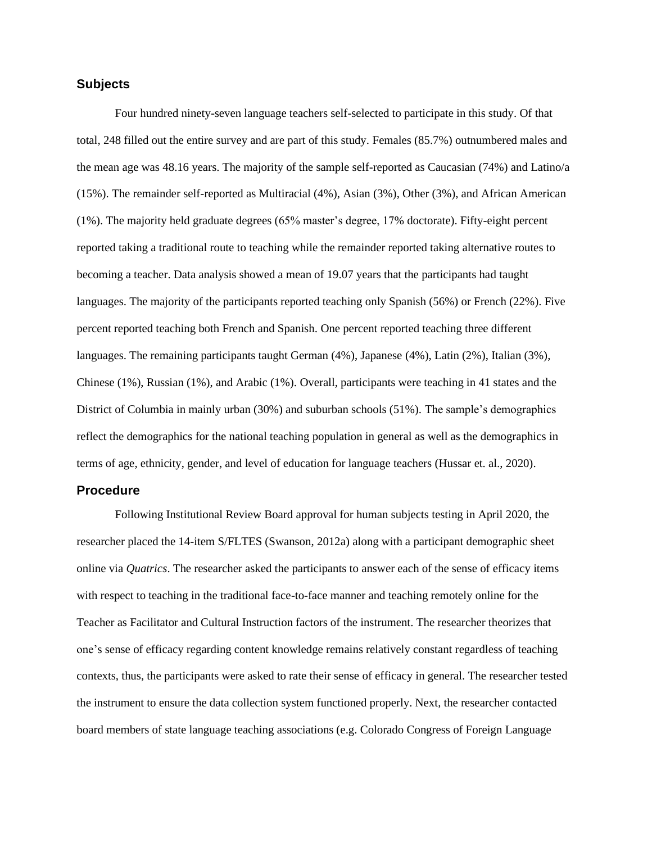#### **Subjects**

Four hundred ninety-seven language teachers self-selected to participate in this study. Of that total, 248 filled out the entire survey and are part of this study. Females (85.7%) outnumbered males and the mean age was 48.16 years. The majority of the sample self-reported as Caucasian (74%) and Latino/a (15%). The remainder self-reported as Multiracial (4%), Asian (3%), Other (3%), and African American (1%). The majority held graduate degrees (65% master's degree, 17% doctorate). Fifty-eight percent reported taking a traditional route to teaching while the remainder reported taking alternative routes to becoming a teacher. Data analysis showed a mean of 19.07 years that the participants had taught languages. The majority of the participants reported teaching only Spanish (56%) or French (22%). Five percent reported teaching both French and Spanish. One percent reported teaching three different languages. The remaining participants taught German (4%), Japanese (4%), Latin (2%), Italian (3%), Chinese (1%), Russian (1%), and Arabic (1%). Overall, participants were teaching in 41 states and the District of Columbia in mainly urban (30%) and suburban schools (51%). The sample's demographics reflect the demographics for the national teaching population in general as well as the demographics in terms of age, ethnicity, gender, and level of education for language teachers (Hussar et. al., 2020).

#### **Procedure**

Following Institutional Review Board approval for human subjects testing in April 2020, the researcher placed the 14-item S/FLTES (Swanson, 2012a) along with a participant demographic sheet online via *Quatrics*. The researcher asked the participants to answer each of the sense of efficacy items with respect to teaching in the traditional face-to-face manner and teaching remotely online for the Teacher as Facilitator and Cultural Instruction factors of the instrument. The researcher theorizes that one's sense of efficacy regarding content knowledge remains relatively constant regardless of teaching contexts, thus, the participants were asked to rate their sense of efficacy in general. The researcher tested the instrument to ensure the data collection system functioned properly. Next, the researcher contacted board members of state language teaching associations (e.g. Colorado Congress of Foreign Language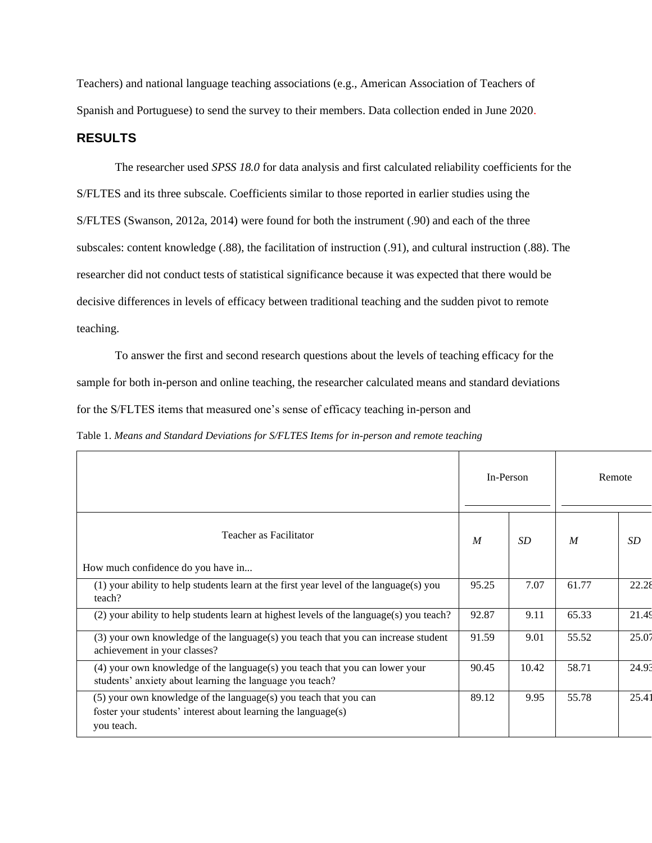Teachers) and national language teaching associations (e.g., American Association of Teachers of Spanish and Portuguese) to send the survey to their members. Data collection ended in June 2020.

#### **RESULTS**

The researcher used *SPSS 18.0* for data analysis and first calculated reliability coefficients for the S/FLTES and its three subscale. Coefficients similar to those reported in earlier studies using the S/FLTES (Swanson, 2012a, 2014) were found for both the instrument (.90) and each of the three subscales: content knowledge (.88), the facilitation of instruction (.91), and cultural instruction (.88). The researcher did not conduct tests of statistical significance because it was expected that there would be decisive differences in levels of efficacy between traditional teaching and the sudden pivot to remote teaching.

To answer the first and second research questions about the levels of teaching efficacy for the sample for both in-person and online teaching, the researcher calculated means and standard deviations for the S/FLTES items that measured one's sense of efficacy teaching in-person and

|  | Table 1. Means and Standard Deviations for S/FLTES Items for in-person and remote teaching |  |  |  |  |  |
|--|--------------------------------------------------------------------------------------------|--|--|--|--|--|
|--|--------------------------------------------------------------------------------------------|--|--|--|--|--|

|                                                                                                                                                 |                  | In-Person |                  | Remote |
|-------------------------------------------------------------------------------------------------------------------------------------------------|------------------|-----------|------------------|--------|
| Teacher as Facilitator                                                                                                                          | $\boldsymbol{M}$ | SD.       | $\boldsymbol{M}$ | SD     |
| How much confidence do you have in                                                                                                              |                  |           |                  |        |
| (1) your ability to help students learn at the first year level of the language(s) you<br>teach?                                                | 95.25            | 7.07      | 61.77            | 22.28  |
| (2) your ability to help students learn at highest levels of the language(s) you teach?                                                         | 92.87            | 9.11      | 65.33            | 21.49  |
| (3) your own knowledge of the language(s) you teach that you can increase student<br>achievement in your classes?                               | 91.59            | 9.01      | 55.52            | 25.07  |
| (4) your own knowledge of the language(s) you teach that you can lower your<br>students' anxiety about learning the language you teach?         | 90.45            | 10.42     | 58.71            | 24.93  |
| (5) your own knowledge of the language(s) you teach that you can<br>foster your students' interest about learning the language(s)<br>you teach. | 89.12            | 9.95      | 55.78            | 25.41  |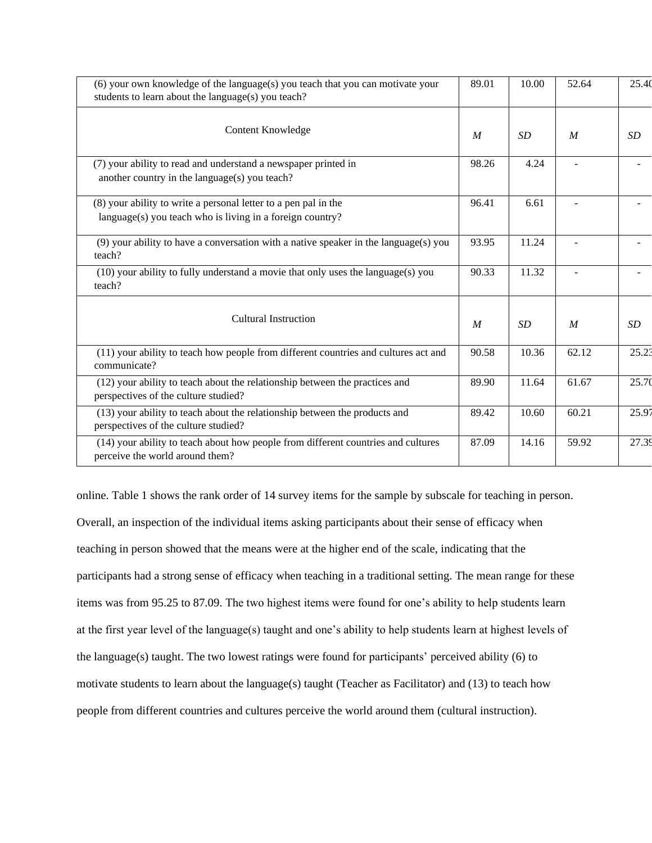| (6) your own knowledge of the language(s) you teach that you can motivate your<br>students to learn about the language(s) you teach? | 89.01            | 10.00 | 52.64            | 25.40     |
|--------------------------------------------------------------------------------------------------------------------------------------|------------------|-------|------------------|-----------|
| Content Knowledge                                                                                                                    | M                | SD    | $\boldsymbol{M}$ | <i>SD</i> |
| (7) your ability to read and understand a newspaper printed in<br>another country in the language(s) you teach?                      | 98.26            | 4.24  |                  |           |
| (8) your ability to write a personal letter to a pen pal in the<br>language(s) you teach who is living in a foreign country?         | 96.41            | 6.61  |                  |           |
| $(9)$ your ability to have a conversation with a native speaker in the language $(s)$ you<br>teach?                                  | 93.95            | 11.24 |                  |           |
| (10) your ability to fully understand a movie that only uses the language(s) you<br>teach?                                           | 90.33            | 11.32 |                  |           |
| <b>Cultural Instruction</b>                                                                                                          | $\boldsymbol{M}$ | SD    | $\boldsymbol{M}$ | <b>SD</b> |
| (11) your ability to teach how people from different countries and cultures act and<br>communicate?                                  | 90.58            | 10.36 | 62.12            | 25.23     |
| (12) your ability to teach about the relationship between the practices and<br>perspectives of the culture studied?                  | 89.90            | 11.64 | 61.67            | 25.70     |
| (13) your ability to teach about the relationship between the products and<br>perspectives of the culture studied?                   | 89.42            | 10.60 | 60.21            | 25.97     |
| (14) your ability to teach about how people from different countries and cultures<br>perceive the world around them?                 | 87.09            | 14.16 | 59.92            | 27.39     |

online. Table 1 shows the rank order of 14 survey items for the sample by subscale for teaching in person. Overall, an inspection of the individual items asking participants about their sense of efficacy when teaching in person showed that the means were at the higher end of the scale, indicating that the participants had a strong sense of efficacy when teaching in a traditional setting. The mean range for these items was from 95.25 to 87.09. The two highest items were found for one's ability to help students learn at the first year level of the language(s) taught and one's ability to help students learn at highest levels of the language(s) taught. The two lowest ratings were found for participants' perceived ability (6) to motivate students to learn about the language(s) taught (Teacher as Facilitator) and (13) to teach how people from different countries and cultures perceive the world around them (cultural instruction).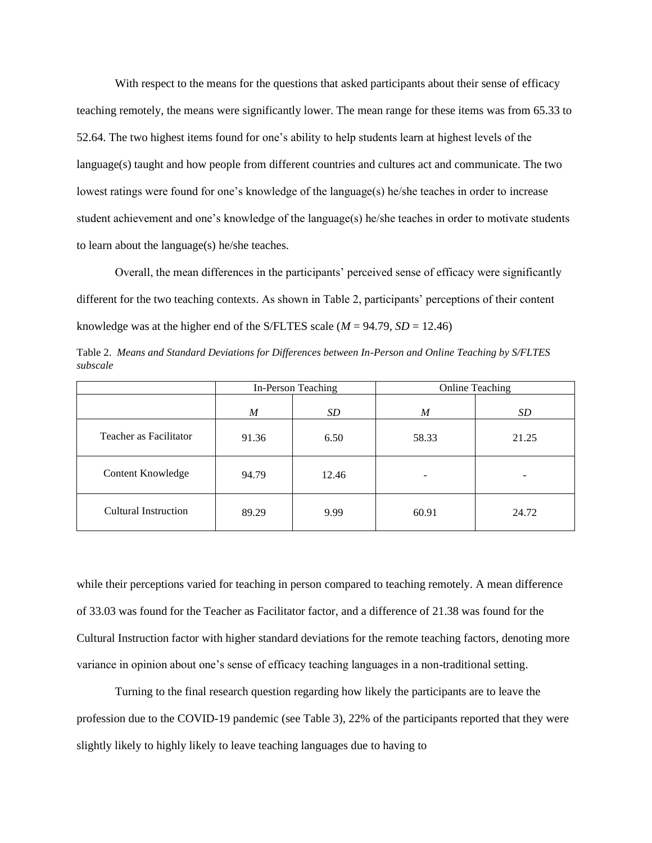With respect to the means for the questions that asked participants about their sense of efficacy teaching remotely, the means were significantly lower. The mean range for these items was from 65.33 to 52.64. The two highest items found for one's ability to help students learn at highest levels of the language(s) taught and how people from different countries and cultures act and communicate. The two lowest ratings were found for one's knowledge of the language(s) he/she teaches in order to increase student achievement and one's knowledge of the language(s) he/she teaches in order to motivate students to learn about the language(s) he/she teaches.

Overall, the mean differences in the participants' perceived sense of efficacy were significantly different for the two teaching contexts. As shown in Table 2, participants' perceptions of their content knowledge was at the higher end of the S/FLTES scale  $(M = 94.79, SD = 12.46)$ 

Table 2. *Means and Standard Deviations for Differences between In-Person and Online Teaching by S/FLTES subscale*

|                             | In-Person Teaching |       | <b>Online Teaching</b> |       |  |
|-----------------------------|--------------------|-------|------------------------|-------|--|
|                             | M                  | SD    | M                      | SD    |  |
| Teacher as Facilitator      | 91.36              | 6.50  | 58.33                  | 21.25 |  |
| <b>Content Knowledge</b>    | 94.79              | 12.46 |                        |       |  |
| <b>Cultural Instruction</b> | 89.29              | 9.99  | 60.91                  | 24.72 |  |

while their perceptions varied for teaching in person compared to teaching remotely. A mean difference of 33.03 was found for the Teacher as Facilitator factor, and a difference of 21.38 was found for the Cultural Instruction factor with higher standard deviations for the remote teaching factors, denoting more variance in opinion about one's sense of efficacy teaching languages in a non-traditional setting.

Turning to the final research question regarding how likely the participants are to leave the profession due to the COVID-19 pandemic (see Table 3), 22% of the participants reported that they were slightly likely to highly likely to leave teaching languages due to having to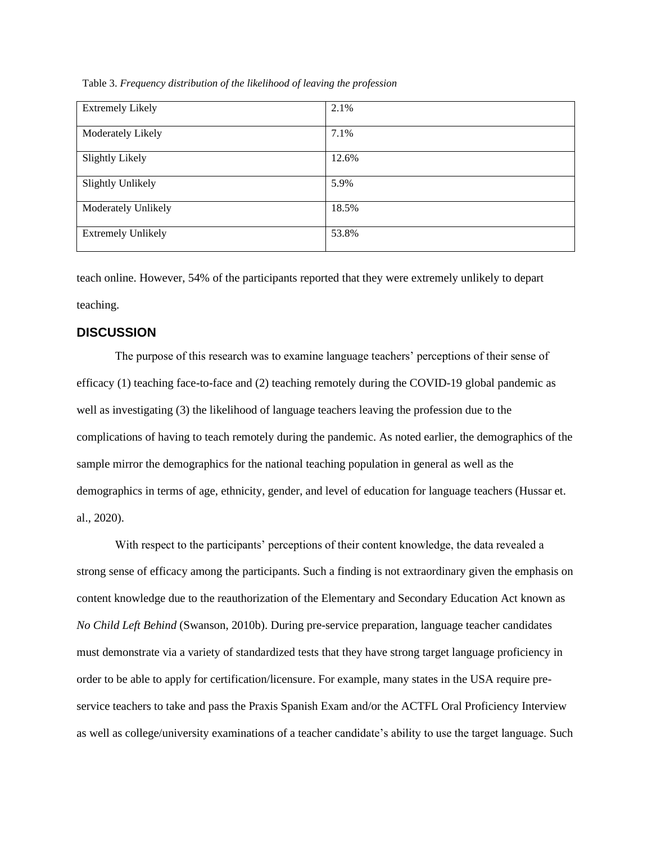| <b>Extremely Likely</b>   | 2.1%  |
|---------------------------|-------|
| Moderately Likely         | 7.1%  |
| <b>Slightly Likely</b>    | 12.6% |
| <b>Slightly Unlikely</b>  | 5.9%  |
| Moderately Unlikely       | 18.5% |
| <b>Extremely Unlikely</b> | 53.8% |

Table 3. *Frequency distribution of the likelihood of leaving the profession*

teach online. However, 54% of the participants reported that they were extremely unlikely to depart teaching.

#### **DISCUSSION**

The purpose of this research was to examine language teachers' perceptions of their sense of efficacy (1) teaching face-to-face and (2) teaching remotely during the COVID-19 global pandemic as well as investigating (3) the likelihood of language teachers leaving the profession due to the complications of having to teach remotely during the pandemic. As noted earlier, the demographics of the sample mirror the demographics for the national teaching population in general as well as the demographics in terms of age, ethnicity, gender, and level of education for language teachers (Hussar et. al., 2020).

With respect to the participants' perceptions of their content knowledge, the data revealed a strong sense of efficacy among the participants. Such a finding is not extraordinary given the emphasis on content knowledge due to the reauthorization of the Elementary and Secondary Education Act known as *No Child Left Behind* (Swanson, 2010b). During pre-service preparation, language teacher candidates must demonstrate via a variety of standardized tests that they have strong target language proficiency in order to be able to apply for certification/licensure. For example, many states in the USA require preservice teachers to take and pass the Praxis Spanish Exam and/or the ACTFL Oral Proficiency Interview as well as college/university examinations of a teacher candidate's ability to use the target language. Such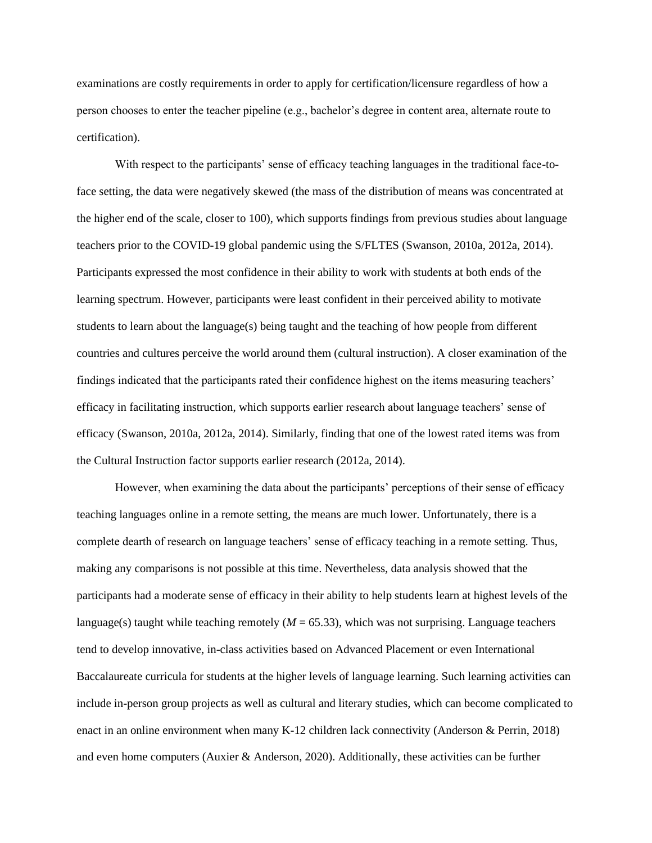examinations are costly requirements in order to apply for certification/licensure regardless of how a person chooses to enter the teacher pipeline (e.g., bachelor's degree in content area, alternate route to certification).

With respect to the participants' sense of efficacy teaching languages in the traditional face-toface setting, the data were negatively skewed (the mass of the distribution of means was concentrated at the higher end of the scale, closer to 100), which supports findings from previous studies about language teachers prior to the COVID-19 global pandemic using the S/FLTES (Swanson, 2010a, 2012a, 2014). Participants expressed the most confidence in their ability to work with students at both ends of the learning spectrum. However, participants were least confident in their perceived ability to motivate students to learn about the language(s) being taught and the teaching of how people from different countries and cultures perceive the world around them (cultural instruction). A closer examination of the findings indicated that the participants rated their confidence highest on the items measuring teachers' efficacy in facilitating instruction, which supports earlier research about language teachers' sense of efficacy (Swanson, 2010a, 2012a, 2014). Similarly, finding that one of the lowest rated items was from the Cultural Instruction factor supports earlier research (2012a, 2014).

However, when examining the data about the participants' perceptions of their sense of efficacy teaching languages online in a remote setting, the means are much lower. Unfortunately, there is a complete dearth of research on language teachers' sense of efficacy teaching in a remote setting. Thus, making any comparisons is not possible at this time. Nevertheless, data analysis showed that the participants had a moderate sense of efficacy in their ability to help students learn at highest levels of the language(s) taught while teaching remotely  $(M = 65.33)$ , which was not surprising. Language teachers tend to develop innovative, in-class activities based on Advanced Placement or even International Baccalaureate curricula for students at the higher levels of language learning. Such learning activities can include in-person group projects as well as cultural and literary studies, which can become complicated to enact in an online environment when many K-12 children lack connectivity (Anderson & Perrin, 2018) and even home computers (Auxier & Anderson, 2020). Additionally, these activities can be further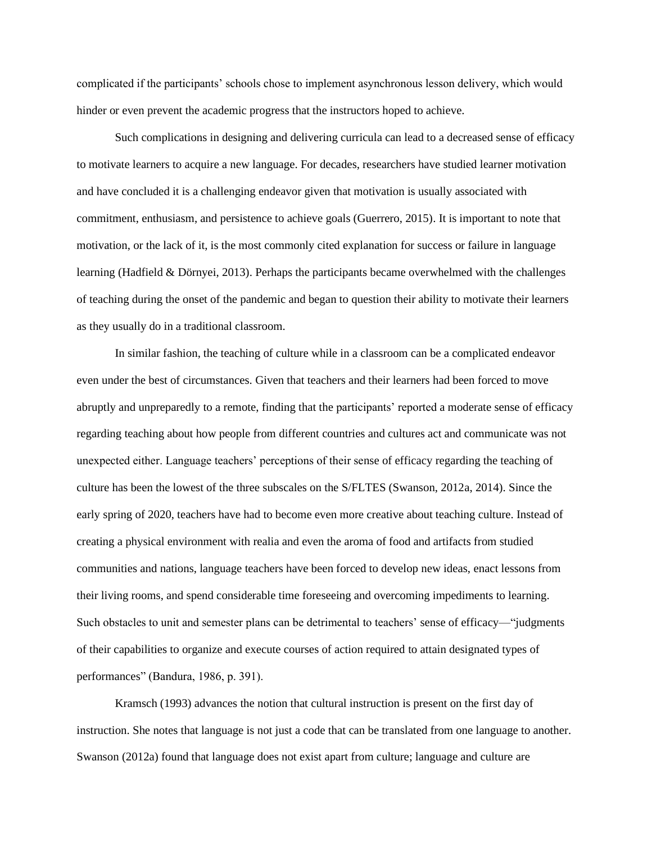complicated if the participants' schools chose to implement asynchronous lesson delivery, which would hinder or even prevent the academic progress that the instructors hoped to achieve.

Such complications in designing and delivering curricula can lead to a decreased sense of efficacy to motivate learners to acquire a new language. For decades, researchers have studied learner motivation and have concluded it is a challenging endeavor given that motivation is usually associated with commitment, enthusiasm, and persistence to achieve goals (Guerrero, 2015). It is important to note that motivation, or the lack of it, is the most commonly cited explanation for success or failure in language learning (Hadfield & Dörnyei, 2013). Perhaps the participants became overwhelmed with the challenges of teaching during the onset of the pandemic and began to question their ability to motivate their learners as they usually do in a traditional classroom.

In similar fashion, the teaching of culture while in a classroom can be a complicated endeavor even under the best of circumstances. Given that teachers and their learners had been forced to move abruptly and unpreparedly to a remote, finding that the participants' reported a moderate sense of efficacy regarding teaching about how people from different countries and cultures act and communicate was not unexpected either. Language teachers' perceptions of their sense of efficacy regarding the teaching of culture has been the lowest of the three subscales on the S/FLTES (Swanson, 2012a, 2014). Since the early spring of 2020, teachers have had to become even more creative about teaching culture. Instead of creating a physical environment with realia and even the aroma of food and artifacts from studied communities and nations, language teachers have been forced to develop new ideas, enact lessons from their living rooms, and spend considerable time foreseeing and overcoming impediments to learning. Such obstacles to unit and semester plans can be detrimental to teachers' sense of efficacy—"judgments of their capabilities to organize and execute courses of action required to attain designated types of performances" (Bandura, 1986, p. 391).

Kramsch (1993) advances the notion that cultural instruction is present on the first day of instruction. She notes that language is not just a code that can be translated from one language to another. Swanson (2012a) found that language does not exist apart from culture; language and culture are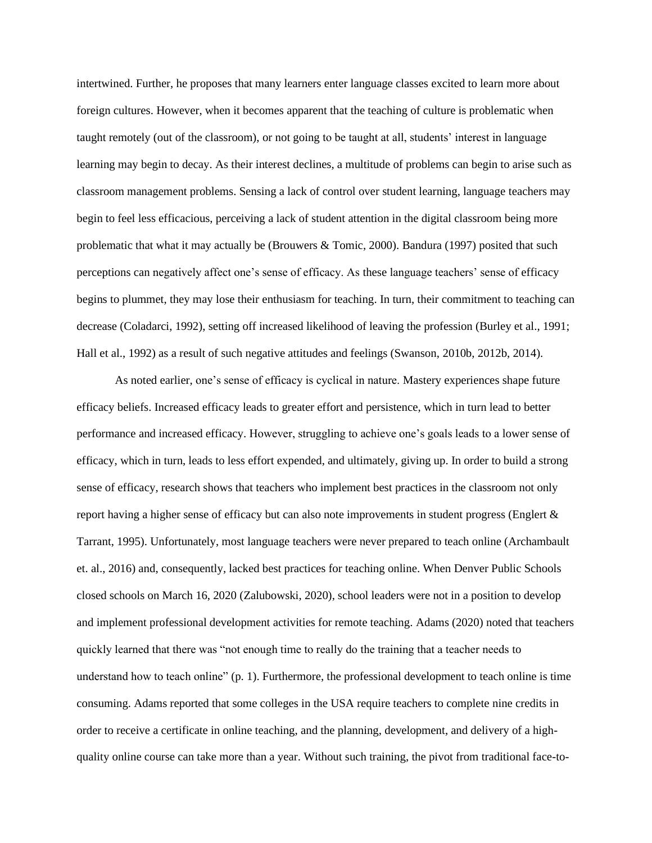intertwined. Further, he proposes that many learners enter language classes excited to learn more about foreign cultures. However, when it becomes apparent that the teaching of culture is problematic when taught remotely (out of the classroom), or not going to be taught at all, students' interest in language learning may begin to decay. As their interest declines, a multitude of problems can begin to arise such as classroom management problems. Sensing a lack of control over student learning, language teachers may begin to feel less efficacious, perceiving a lack of student attention in the digital classroom being more problematic that what it may actually be (Brouwers & Tomic, 2000). Bandura (1997) posited that such perceptions can negatively affect one's sense of efficacy. As these language teachers' sense of efficacy begins to plummet, they may lose their enthusiasm for teaching. In turn, their commitment to teaching can decrease (Coladarci, 1992), setting off increased likelihood of leaving the profession (Burley et al., 1991; Hall et al., 1992) as a result of such negative attitudes and feelings (Swanson, 2010b, 2012b, 2014).

As noted earlier, one's sense of efficacy is cyclical in nature. Mastery experiences shape future efficacy beliefs. Increased efficacy leads to greater effort and persistence, which in turn lead to better performance and increased efficacy. However, struggling to achieve one's goals leads to a lower sense of efficacy, which in turn, leads to less effort expended, and ultimately, giving up. In order to build a strong sense of efficacy, research shows that teachers who implement best practices in the classroom not only report having a higher sense of efficacy but can also note improvements in student progress (Englert & Tarrant, 1995). Unfortunately, most language teachers were never prepared to teach online (Archambault et. al., 2016) and, consequently, lacked best practices for teaching online. When Denver Public Schools closed schools on March 16, 2020 (Zalubowski, 2020), school leaders were not in a position to develop and implement professional development activities for remote teaching. Adams (2020) noted that teachers quickly learned that there was "not enough time to really do the training that a teacher needs to understand how to teach online" (p. 1). Furthermore, the professional development to teach online is time consuming. Adams reported that some colleges in the USA require teachers to complete nine credits in order to receive a certificate in online teaching, and the planning, development, and delivery of a highquality online course can take more than a year. Without such training, the pivot from traditional face-to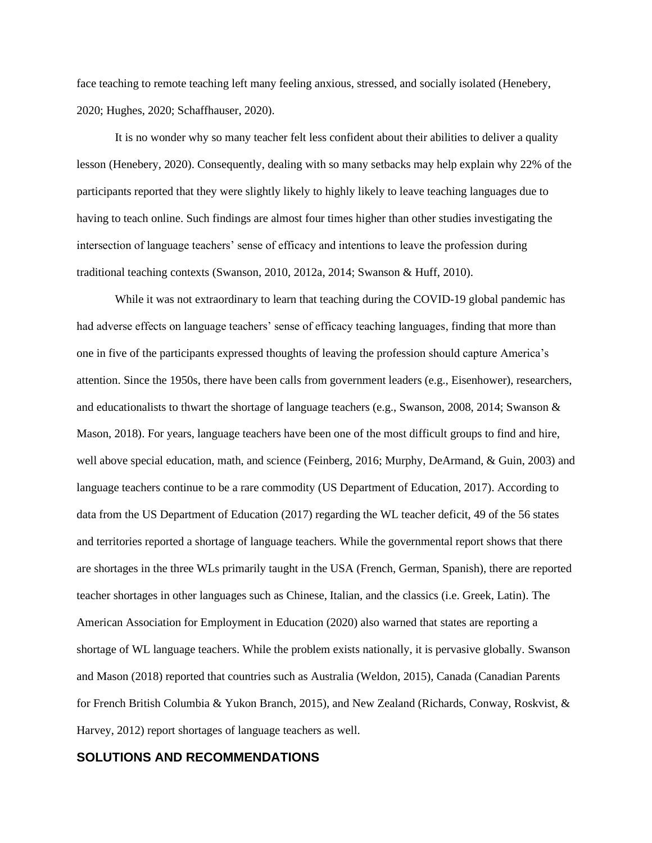face teaching to remote teaching left many feeling anxious, stressed, and socially isolated (Henebery, 2020; Hughes, 2020; Schaffhauser, 2020).

It is no wonder why so many teacher felt less confident about their abilities to deliver a quality lesson (Henebery, 2020). Consequently, dealing with so many setbacks may help explain why 22% of the participants reported that they were slightly likely to highly likely to leave teaching languages due to having to teach online. Such findings are almost four times higher than other studies investigating the intersection of language teachers' sense of efficacy and intentions to leave the profession during traditional teaching contexts (Swanson, 2010, 2012a, 2014; Swanson & Huff, 2010).

While it was not extraordinary to learn that teaching during the COVID-19 global pandemic has had adverse effects on language teachers' sense of efficacy teaching languages, finding that more than one in five of the participants expressed thoughts of leaving the profession should capture America's attention. Since the 1950s, there have been calls from government leaders (e.g., Eisenhower), researchers, and educationalists to thwart the shortage of language teachers (e.g., Swanson, 2008, 2014; Swanson & Mason, 2018). For years, language teachers have been one of the most difficult groups to find and hire, well above special education, math, and science (Feinberg, 2016; Murphy, DeArmand, & Guin, 2003) and language teachers continue to be a rare commodity (US Department of Education, 2017). According to data from the US Department of Education (2017) regarding the WL teacher deficit, 49 of the 56 states and territories reported a shortage of language teachers. While the governmental report shows that there are shortages in the three WLs primarily taught in the USA (French, German, Spanish), there are reported teacher shortages in other languages such as Chinese, Italian, and the classics (i.e. Greek, Latin). The American Association for Employment in Education (2020) also warned that states are reporting a shortage of WL language teachers. While the problem exists nationally, it is pervasive globally. Swanson and Mason (2018) reported that countries such as Australia (Weldon, 2015), Canada (Canadian Parents for French British Columbia & Yukon Branch, 2015), and New Zealand (Richards, Conway, Roskvist, & Harvey, 2012) report shortages of language teachers as well.

#### **SOLUTIONS AND RECOMMENDATIONS**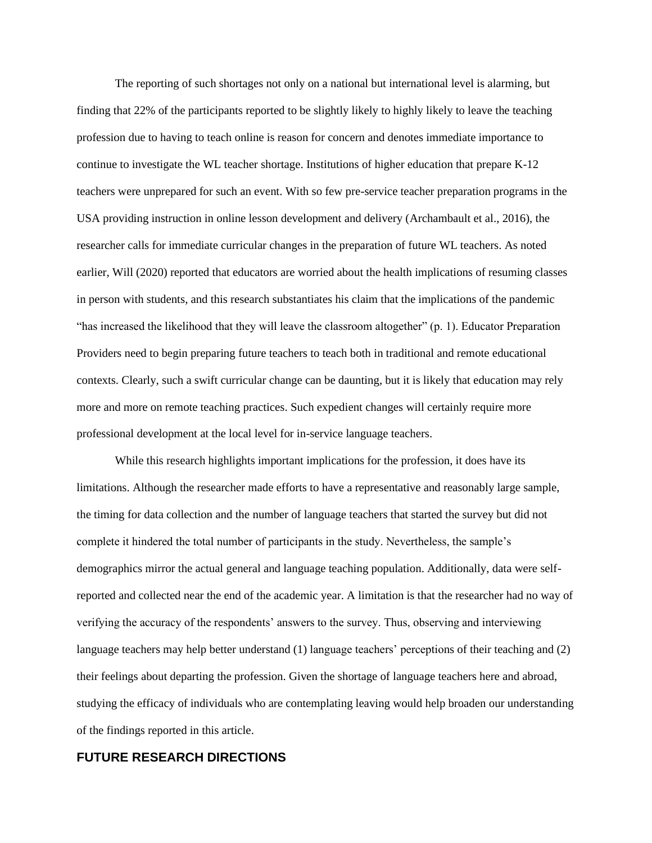The reporting of such shortages not only on a national but international level is alarming, but finding that 22% of the participants reported to be slightly likely to highly likely to leave the teaching profession due to having to teach online is reason for concern and denotes immediate importance to continue to investigate the WL teacher shortage. Institutions of higher education that prepare K-12 teachers were unprepared for such an event. With so few pre-service teacher preparation programs in the USA providing instruction in online lesson development and delivery (Archambault et al., 2016), the researcher calls for immediate curricular changes in the preparation of future WL teachers. As noted earlier, Will (2020) reported that educators are worried about the health implications of resuming classes in person with students, and this research substantiates his claim that the implications of the pandemic "has increased the likelihood that they will leave the classroom altogether" (p. 1). Educator Preparation Providers need to begin preparing future teachers to teach both in traditional and remote educational contexts. Clearly, such a swift curricular change can be daunting, but it is likely that education may rely more and more on remote teaching practices. Such expedient changes will certainly require more professional development at the local level for in-service language teachers.

While this research highlights important implications for the profession, it does have its limitations. Although the researcher made efforts to have a representative and reasonably large sample, the timing for data collection and the number of language teachers that started the survey but did not complete it hindered the total number of participants in the study. Nevertheless, the sample's demographics mirror the actual general and language teaching population. Additionally, data were selfreported and collected near the end of the academic year. A limitation is that the researcher had no way of verifying the accuracy of the respondents' answers to the survey. Thus, observing and interviewing language teachers may help better understand (1) language teachers' perceptions of their teaching and (2) their feelings about departing the profession. Given the shortage of language teachers here and abroad, studying the efficacy of individuals who are contemplating leaving would help broaden our understanding of the findings reported in this article.

#### **FUTURE RESEARCH DIRECTIONS**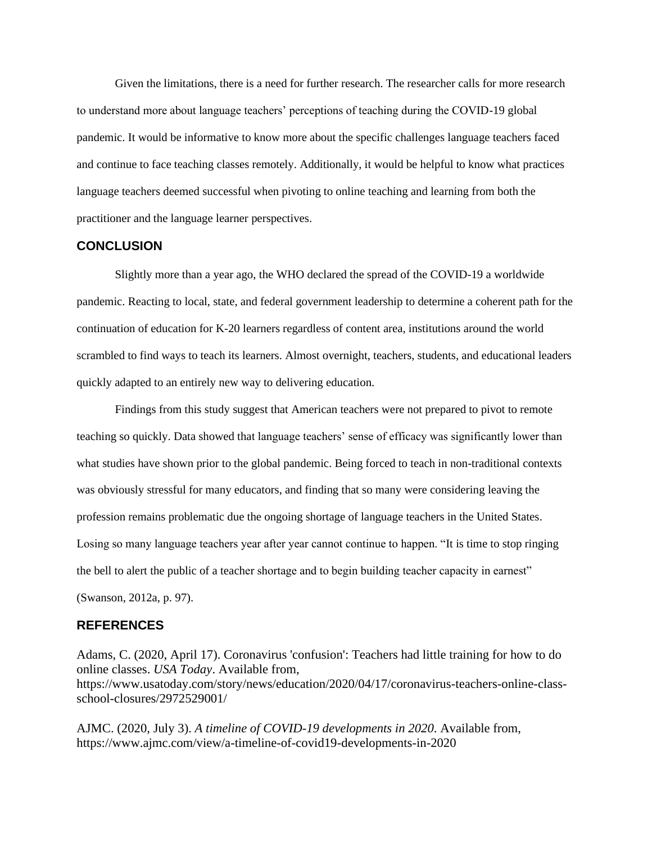Given the limitations, there is a need for further research. The researcher calls for more research to understand more about language teachers' perceptions of teaching during the COVID-19 global pandemic. It would be informative to know more about the specific challenges language teachers faced and continue to face teaching classes remotely. Additionally, it would be helpful to know what practices language teachers deemed successful when pivoting to online teaching and learning from both the practitioner and the language learner perspectives.

#### **CONCLUSION**

Slightly more than a year ago, the WHO declared the spread of the COVID-19 a worldwide pandemic. Reacting to local, state, and federal government leadership to determine a coherent path for the continuation of education for K-20 learners regardless of content area, institutions around the world scrambled to find ways to teach its learners. Almost overnight, teachers, students, and educational leaders quickly adapted to an entirely new way to delivering education.

Findings from this study suggest that American teachers were not prepared to pivot to remote teaching so quickly. Data showed that language teachers' sense of efficacy was significantly lower than what studies have shown prior to the global pandemic. Being forced to teach in non-traditional contexts was obviously stressful for many educators, and finding that so many were considering leaving the profession remains problematic due the ongoing shortage of language teachers in the United States. Losing so many language teachers year after year cannot continue to happen. "It is time to stop ringing the bell to alert the public of a teacher shortage and to begin building teacher capacity in earnest" (Swanson, 2012a, p. 97).

#### **REFERENCES**

Adams, C. (2020, April 17). Coronavirus 'confusion': Teachers had little training for how to do online classes. *USA Today*. Available from, https://www.usatoday.com/story/news/education/2020/04/17/coronavirus-teachers-online-classschool-closures/2972529001/

AJMC. (2020, July 3). *A timeline of COVID-19 developments in 2020*. Available from, https://www.ajmc.com/view/a-timeline-of-covid19-developments-in-2020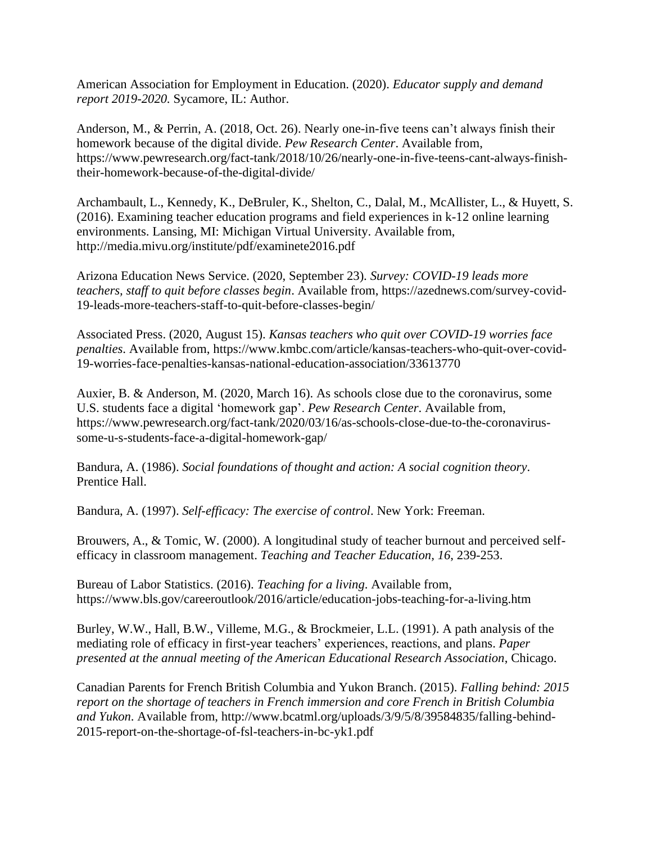American Association for Employment in Education. (2020). *Educator supply and demand report 2019-2020.* Sycamore, IL: Author.

Anderson, M., & Perrin, A. (2018, Oct. 26). Nearly one-in-five teens can't always finish their homework because of the digital divide. *Pew Research Center*. Available from, https://www.pewresearch.org/fact-tank/2018/10/26/nearly-one-in-five-teens-cant-always-finishtheir-homework-because-of-the-digital-divide/

Archambault, L., Kennedy, K., DeBruler, K., Shelton, C., Dalal, M., McAllister, L., & Huyett, S. (2016). Examining teacher education programs and field experiences in k-12 online learning environments. Lansing, MI: Michigan Virtual University. Available from, http://media.mivu.org/institute/pdf/examinete2016.pdf

Arizona Education News Service. (2020, September 23). *Survey: COVID-19 leads more teachers, staff to quit before classes begin*. Available from, https://azednews.com/survey-covid-19-leads-more-teachers-staff-to-quit-before-classes-begin/

Associated Press. (2020, August 15). *Kansas teachers who quit over COVID-19 worries face penalties*. Available from, https://www.kmbc.com/article/kansas-teachers-who-quit-over-covid-19-worries-face-penalties-kansas-national-education-association/33613770

Auxier, B. & Anderson, M. (2020, March 16). As schools close due to the coronavirus, some U.S. students face a digital 'homework gap'. *Pew Research Center*. Available from, https://www.pewresearch.org/fact-tank/2020/03/16/as-schools-close-due-to-the-coronavirussome-u-s-students-face-a-digital-homework-gap/

Bandura, A. (1986). *Social foundations of thought and action: A social cognition theory*. Prentice Hall.

Bandura, A. (1997). *Self-efficacy: The exercise of control*. New York: Freeman.

Brouwers, A., & Tomic, W. (2000). A longitudinal study of teacher burnout and perceived selfefficacy in classroom management. *Teaching and Teacher Education, 16*, 239-253.

Bureau of Labor Statistics. (2016). *Teaching for a living*. Available from, https://www.bls.gov/careeroutlook/2016/article/education-jobs-teaching-for-a-living.htm

Burley, W.W., Hall, B.W., Villeme, M.G., & Brockmeier, L.L. (1991). A path analysis of the mediating role of efficacy in first-year teachers' experiences, reactions, and plans. *Paper presented at the annual meeting of the American Educational Research Association*, Chicago.

Canadian Parents for French British Columbia and Yukon Branch. (2015). *Falling behind: 2015 report on the shortage of teachers in French immersion and core French in British Columbia and Yukon*. Available from, http://www.bcatml.org/uploads/3/9/5/8/39584835/falling-behind-2015-report-on-the-shortage-of-fsl-teachers-in-bc-yk1.pdf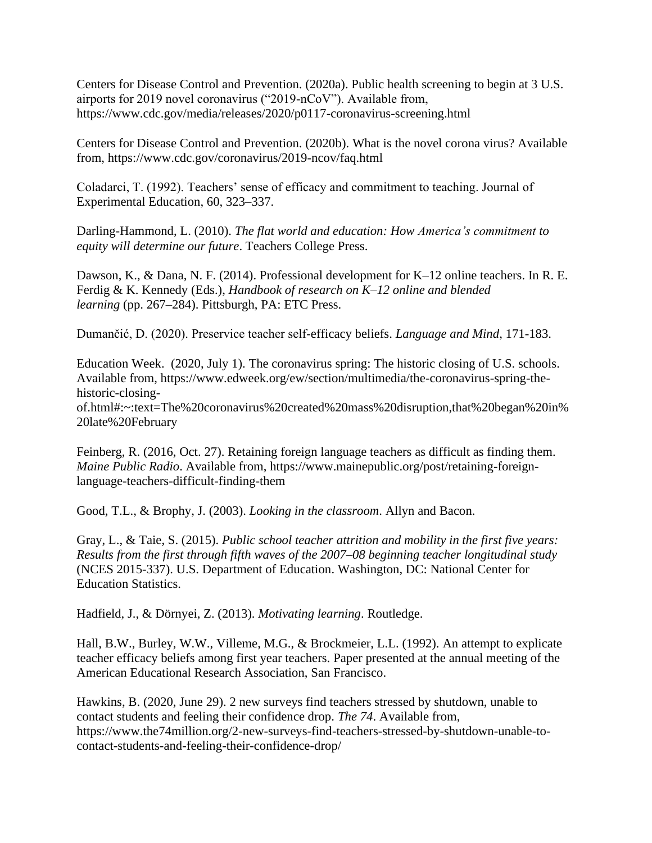Centers for Disease Control and Prevention. (2020a). Public health screening to begin at 3 U.S. airports for 2019 novel coronavirus ("2019-nCoV"). Available from, https://www.cdc.gov/media/releases/2020/p0117-coronavirus-screening.html

Centers for Disease Control and Prevention. (2020b). What is the novel corona virus? Available from, https://www.cdc.gov/coronavirus/2019-ncov/faq.html

Coladarci, T. (1992). Teachers' sense of efficacy and commitment to teaching. Journal of Experimental Education, 60, 323–337.

Darling-Hammond, L. (2010). *The flat world and education: How America's commitment to equity will determine our future*. Teachers College Press.

Dawson, K., & Dana, N. F. (2014). Professional development for K–12 online teachers. In R. E. Ferdig & K. Kennedy (Eds.), *Handbook of research on K–12 online and blended learning* (pp. 267–284). Pittsburgh, PA: ETC Press.

Dumančić, D. (2020). Preservice teacher self-efficacy beliefs. *Language and Mind*, 171-183.

Education Week. (2020, July 1). The coronavirus spring: The historic closing of U.S. schools. Available from, https://www.edweek.org/ew/section/multimedia/the-coronavirus-spring-thehistoric-closing-

of.html#:~:text=The%20coronavirus%20created%20mass%20disruption,that%20began%20in% 20late%20February

Feinberg, R. (2016, Oct. 27). Retaining foreign language teachers as difficult as finding them. *Maine Public Radio*. Available from, https://www.mainepublic.org/post/retaining-foreignlanguage-teachers-difficult-finding-them

Good, T.L., & Brophy, J. (2003). *Looking in the classroom*. Allyn and Bacon.

Gray, L., & Taie, S. (2015). *Public school teacher attrition and mobility in the first five years: Results from the first through fifth waves of the 2007–08 beginning teacher longitudinal study* (NCES 2015-337). U.S. Department of Education. Washington, DC: National Center for Education Statistics.

Hadfield, J., & Dörnyei, Z. (2013). *Motivating learning*. Routledge.

Hall, B.W., Burley, W.W., Villeme, M.G., & Brockmeier, L.L. (1992). An attempt to explicate teacher efficacy beliefs among first year teachers. Paper presented at the annual meeting of the American Educational Research Association, San Francisco.

Hawkins, B. (2020, June 29). 2 new surveys find teachers stressed by shutdown, unable to contact students and feeling their confidence drop. *The 74*. Available from, https://www.the74million.org/2-new-surveys-find-teachers-stressed-by-shutdown-unable-tocontact-students-and-feeling-their-confidence-drop/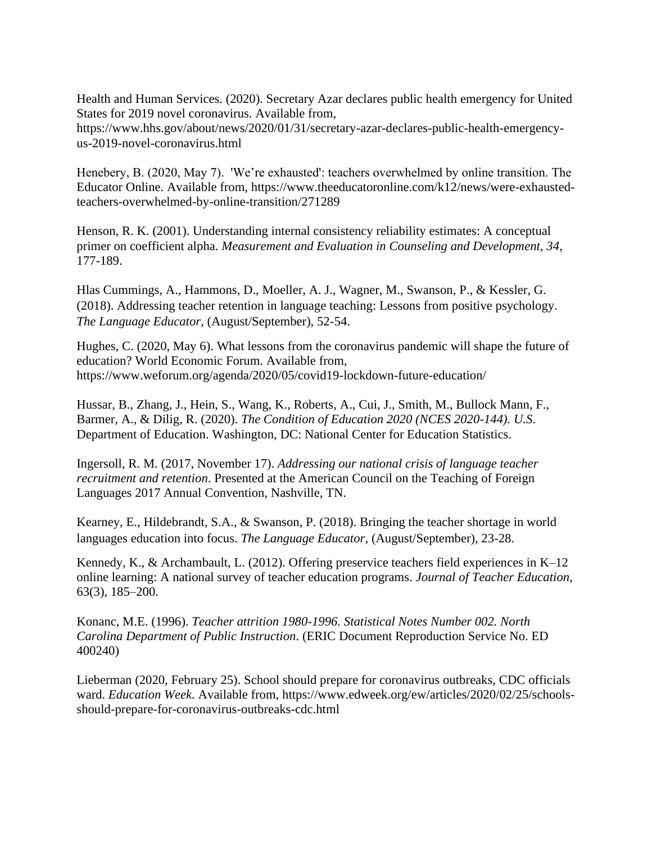Health and Human Services. (2020). Secretary Azar declares public health emergency for United States for 2019 novel coronavirus. Available from,

https://www.hhs.gov/about/news/2020/01/31/secretary-azar-declares-public-health-emergencyus-2019-novel-coronavirus.html

Henebery, B. (2020, May 7). 'We're exhausted': teachers overwhelmed by online transition. The Educator Online. Available from, https://www.theeducatoronline.com/k12/news/were-exhaustedteachers-overwhelmed-by-online-transition/271289

Henson, R. K. (2001). Understanding internal consistency reliability estimates: A conceptual primer on coefficient alpha. *Measurement and Evaluation in Counseling and Development, 34*, 177-189.

Hlas Cummings, A., Hammons, D., Moeller, A. J., Wagner, M., Swanson, P., & Kessler, G. (2018). Addressing teacher retention in language teaching: Lessons from positive psychology. *The Language Educator*, (August/September), 52-54.

Hughes, C. (2020, May 6). What lessons from the coronavirus pandemic will shape the future of education? World Economic Forum. Available from, https://www.weforum.org/agenda/2020/05/covid19-lockdown-future-education/

Hussar, B., Zhang, J., Hein, S., Wang, K., Roberts, A., Cui, J., Smith, M., Bullock Mann, F., Barmer, A., & Dilig, R. (2020). *The Condition of Education 2020 (NCES 2020-144). U.S*. Department of Education. Washington, DC: National Center for Education Statistics.

Ingersoll, R. M. (2017, November 17). *Addressing our national crisis of language teacher recruitment and retention*. Presented at the American Council on the Teaching of Foreign Languages 2017 Annual Convention, Nashville, TN.

Kearney, E., Hildebrandt, S.A., & Swanson, P. (2018). Bringing the teacher shortage in world languages education into focus. *The Language Educator*, (August/September), 23-28.

Kennedy, K., & Archambault, L. (2012). Offering preservice teachers field experiences in K–12 online learning: A national survey of teacher education programs. *Journal of Teacher Education*, 63(3), 185–200.

Konanc, M.E. (1996). *Teacher attrition 1980-1996. Statistical Notes Number 002. North Carolina Department of Public Instruction*. (ERIC Document Reproduction Service No. ED 400240)

Lieberman (2020, February 25). School should prepare for coronavirus outbreaks, CDC officials ward. *Education Week*. Available from, https://www.edweek.org/ew/articles/2020/02/25/schoolsshould-prepare-for-coronavirus-outbreaks-cdc.html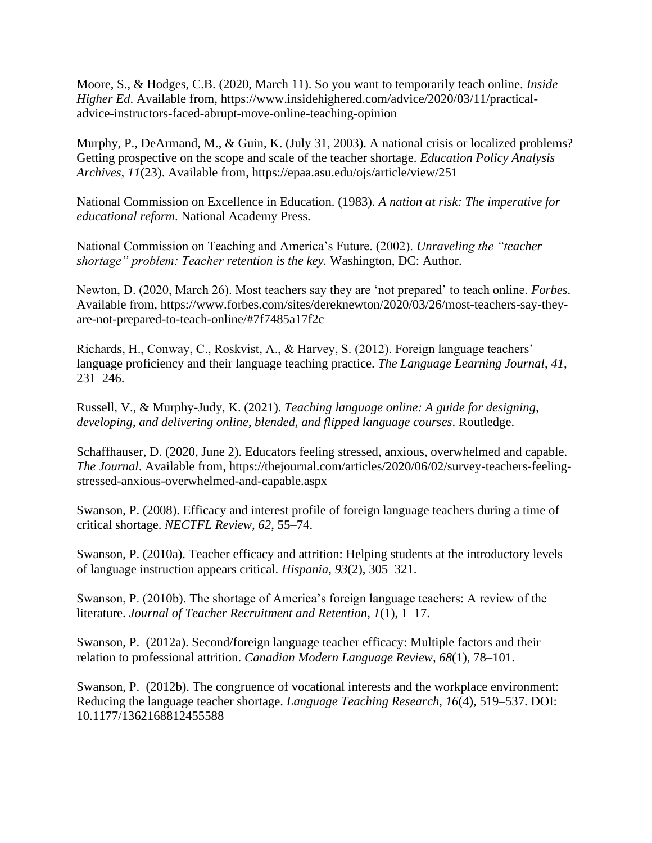Moore, S., & Hodges, C.B. (2020, March 11). So you want to temporarily teach online. *Inside Higher Ed*. Available from, https://www.insidehighered.com/advice/2020/03/11/practicaladvice-instructors-faced-abrupt-move-online-teaching-opinion

Murphy, P., DeArmand, M., & Guin, K. (July 31, 2003). A national crisis or localized problems? Getting prospective on the scope and scale of the teacher shortage. *Education Policy Analysis Archives, 11*(23). Available from, https://epaa.asu.edu/ojs/article/view/251

National Commission on Excellence in Education. (1983). *A nation at risk: The imperative for educational reform*. National Academy Press.

National Commission on Teaching and America's Future. (2002). *Unraveling the "teacher shortage" problem: Teacher retention is the key.* Washington, DC: Author.

Newton, D. (2020, March 26). Most teachers say they are 'not prepared' to teach online. *Forbes*. Available from, https://www.forbes.com/sites/dereknewton/2020/03/26/most-teachers-say-theyare-not-prepared-to-teach-online/#7f7485a17f2c

Richards, H., Conway, C., Roskvist, A., & Harvey, S. (2012). Foreign language teachers' language proficiency and their language teaching practice. *The Language Learning Journal*, *41*, 231–246.

Russell, V., & Murphy-Judy, K. (2021). *Teaching language online: A guide for designing, developing, and delivering online, blended, and flipped language courses*. Routledge.

Schaffhauser, D. (2020, June 2). Educators feeling stressed, anxious, overwhelmed and capable. *The Journal*. Available from, https://thejournal.com/articles/2020/06/02/survey-teachers-feelingstressed-anxious-overwhelmed-and-capable.aspx

Swanson, P. (2008). Efficacy and interest profile of foreign language teachers during a time of critical shortage. *NECTFL Review, 62*, 55–74.

Swanson, P. (2010a). Teacher efficacy and attrition: Helping students at the introductory levels of language instruction appears critical. *Hispania, 93*(2), 305–321.

Swanson, P. (2010b). The shortage of America's foreign language teachers: A review of the literature. *Journal of Teacher Recruitment and Retention, 1*(1), 1–17.

Swanson, P. (2012a). Second/foreign language teacher efficacy: Multiple factors and their relation to professional attrition. *Canadian Modern Language Review, 68*(1), 78–101.

Swanson, P. (2012b). The congruence of vocational interests and the workplace environment: Reducing the language teacher shortage. *Language Teaching Research, 16*(4), 519–537. DOI: 10.1177/1362168812455588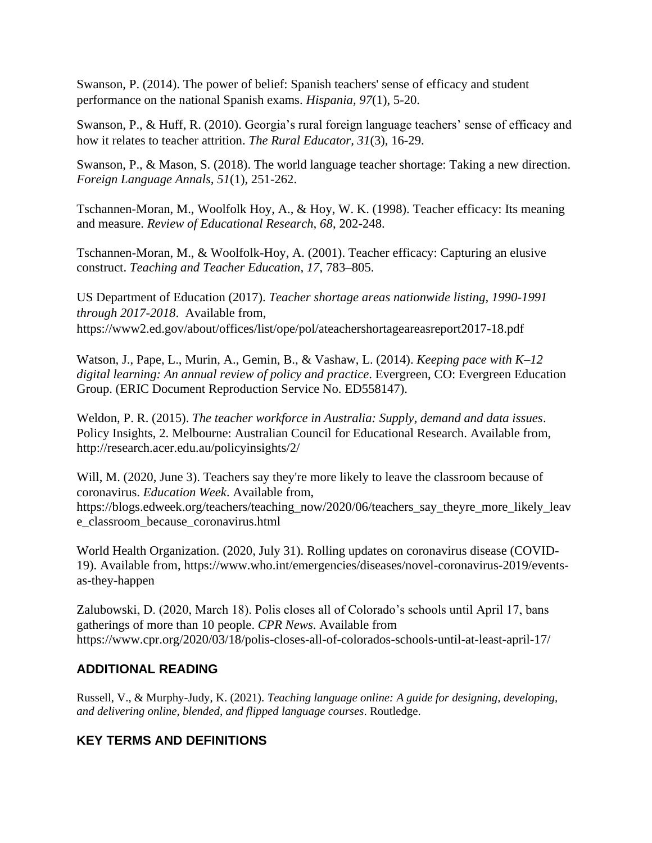Swanson, P. (2014). The power of belief: Spanish teachers' sense of efficacy and student performance on the national Spanish exams. *Hispania, 97*(1), 5-20.

Swanson, P., & Huff, R. (2010). Georgia's rural foreign language teachers' sense of efficacy and how it relates to teacher attrition. *The Rural Educator, 31*(3), 16-29.

Swanson, P., & Mason, S. (2018). The world language teacher shortage: Taking a new direction. *Foreign Language Annals, 51*(1)*,* 251-262.

Tschannen-Moran, M., Woolfolk Hoy, A., & Hoy, W. K. (1998). Teacher efficacy: Its meaning and measure. *Review of Educational Research, 68*, 202-248.

Tschannen-Moran, M., & Woolfolk-Hoy, A. (2001). Teacher efficacy: Capturing an elusive construct. *Teaching and Teacher Education, 17*, 783–805.

US Department of Education (2017). *Teacher shortage areas nationwide listing, 1990-1991 through 2017-2018*. Available from, https://www2.ed.gov/about/offices/list/ope/pol/ateachershortageareasreport2017-18.pdf

Watson, J., Pape, L., Murin, A., Gemin, B., & Vashaw, L. (2014). *Keeping pace with K–12*  digital learning: An annual review of policy and practice. Evergreen, CO: Evergreen Education Group. (ERIC Document Reproduction Service No. ED558147).

Weldon, P. R. (2015). *The teacher workforce in Australia: Supply, demand and data issues*. Policy Insights, 2. Melbourne: Australian Council for Educational Research. Available from, http://research.acer.edu.au/policyinsights/2/

Will, M. (2020, June 3). Teachers say they're more likely to leave the classroom because of coronavirus. *Education Week*. Available from, https://blogs.edweek.org/teachers/teaching\_now/2020/06/teachers\_say\_theyre\_more\_likely\_leav e\_classroom\_because\_coronavirus.html

World Health Organization. (2020, July 31). Rolling updates on coronavirus disease (COVID-19). Available from, https://www.who.int/emergencies/diseases/novel-coronavirus-2019/eventsas-they-happen

Zalubowski, D. (2020, March 18). Polis closes all of Colorado's schools until April 17, bans gatherings of more than 10 people. *CPR News*. Available from https://www.cpr.org/2020/03/18/polis-closes-all-of-colorados-schools-until-at-least-april-17/

### **ADDITIONAL READING**

Russell, V., & Murphy-Judy, K. (2021). *Teaching language online: A guide for designing, developing, and delivering online, blended, and flipped language courses*. Routledge.

# **KEY TERMS AND DEFINITIONS**